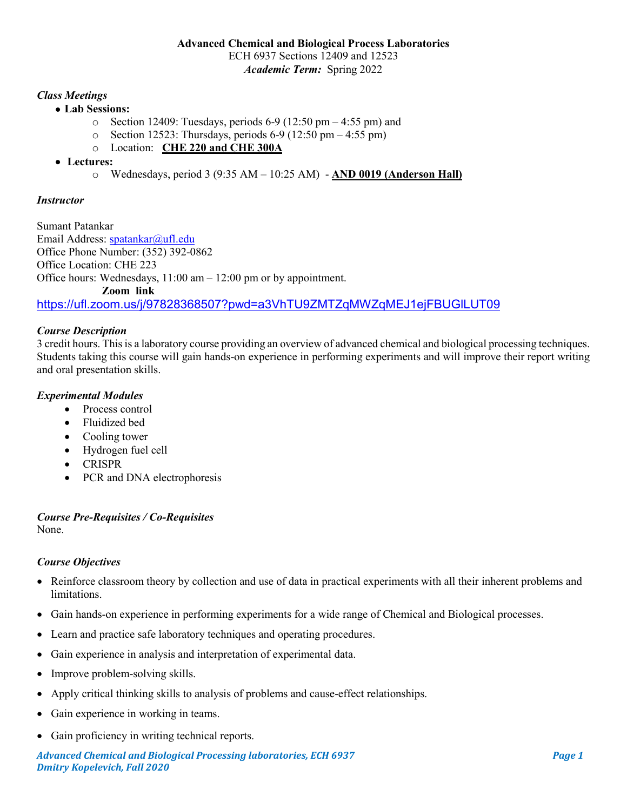# *Class Meetings*

- **Lab Sessions:**
	- $\circ$  Section 12409: Tuesdays, periods 6-9 (12:50 pm 4:55 pm) and
	- $\circ$  Section 12523: Thursdays, periods 6-9 (12:50 pm 4:55 pm)
	- o Location: **CHE 220 and CHE 300A**
- **Lectures:** 
	- o Wednesdays, period 3 (9:35 AM 10:25 AM) **AND 0019 (Anderson Hall)**

### *Instructor*

Sumant Patankar Email Address: [spatankar@ufl.edu](mailto:spatankar@ufl.edu) Office Phone Number: (352) 392-0862 Office Location: CHE 223 Office hours: Wednesdays, 11:00 am – 12:00 pm or by appointment. **Zoom link**  <https://ufl.zoom.us/j/97828368507?pwd=a3VhTU9ZMTZqMWZqMEJ1ejFBUGlLUT09>

### *Course Description*

3 credit hours. This is a laboratory course providing an overview of advanced chemical and biological processing techniques. Students taking this course will gain hands-on experience in performing experiments and will improve their report writing and oral presentation skills.

## *Experimental Modules*

- Process control
- Fluidized bed
- Cooling tower
- Hydrogen fuel cell
- CRISPR
- PCR and DNA electrophoresis

#### *Course Pre-Requisites / Co-Requisites* None.

### *Course Objectives*

- Reinforce classroom theory by collection and use of data in practical experiments with all their inherent problems and limitations.
- Gain hands-on experience in performing experiments for a wide range of Chemical and Biological processes.
- Learn and practice safe laboratory techniques and operating procedures.
- Gain experience in analysis and interpretation of experimental data.
- Improve problem-solving skills.
- Apply critical thinking skills to analysis of problems and cause-effect relationships.
- Gain experience in working in teams.
- Gain proficiency in writing technical reports.

*Advanced Chemical and Biological Processing laboratories, ECH 6937 Page 1 Dmitry Kopelevich, Fall 2020*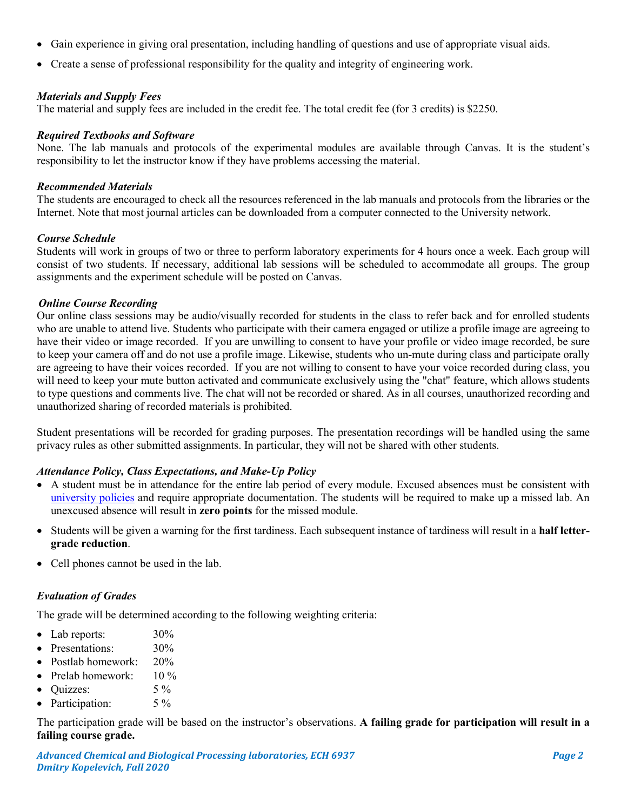- Gain experience in giving oral presentation, including handling of questions and use of appropriate visual aids.
- Create a sense of professional responsibility for the quality and integrity of engineering work.

#### *Materials and Supply Fees*

The material and supply fees are included in the credit fee. The total credit fee (for 3 credits) is \$2250.

#### *Required Textbooks and Software*

None. The lab manuals and protocols of the experimental modules are available through Canvas. It is the student's responsibility to let the instructor know if they have problems accessing the material.

#### *Recommended Materials*

The students are encouraged to check all the resources referenced in the lab manuals and protocols from the libraries or the Internet. Note that most journal articles can be downloaded from a computer connected to the University network.

#### *Course Schedule*

Students will work in groups of two or three to perform laboratory experiments for 4 hours once a week. Each group will consist of two students. If necessary, additional lab sessions will be scheduled to accommodate all groups. The group assignments and the experiment schedule will be posted on Canvas.

#### *Online Course Recording*

Our online class sessions may be audio/visually recorded for students in the class to refer back and for enrolled students who are unable to attend live. Students who participate with their camera engaged or utilize a profile image are agreeing to have their video or image recorded. If you are unwilling to consent to have your profile or video image recorded, be sure to keep your camera off and do not use a profile image. Likewise, students who un-mute during class and participate orally are agreeing to have their voices recorded. If you are not willing to consent to have your voice recorded during class, you will need to keep your mute button activated and communicate exclusively using the "chat" feature, which allows students to type questions and comments live. The chat will not be recorded or shared. As in all courses, unauthorized recording and unauthorized sharing of recorded materials is prohibited.

Student presentations will be recorded for grading purposes. The presentation recordings will be handled using the same privacy rules as other submitted assignments. In particular, they will not be shared with other students.

### *Attendance Policy, Class Expectations, and Make-Up Policy*

- A student must be in attendance for the entire lab period of every module. Excused absences must be consistent with [university policies](https://catalog.ufl.edu/UGRD/academic-regulations/attendance-policies/) and require appropriate documentation. The students will be required to make up a missed lab. An unexcused absence will result in **zero points** for the missed module.
- Students will be given a warning for the first tardiness. Each subsequent instance of tardiness will result in a **half lettergrade reduction**.
- Cell phones cannot be used in the lab.

### *Evaluation of Grades*

The grade will be determined according to the following weighting criteria:

- Lab reports:  $30\%$
- Presentations:  $30\%$
- Postlab homework: 20%
- Prelab homework: 10 %
- Quizzes:  $5\%$
- Participation: 5 %

The participation grade will be based on the instructor's observations. **A failing grade for participation will result in a failing course grade.**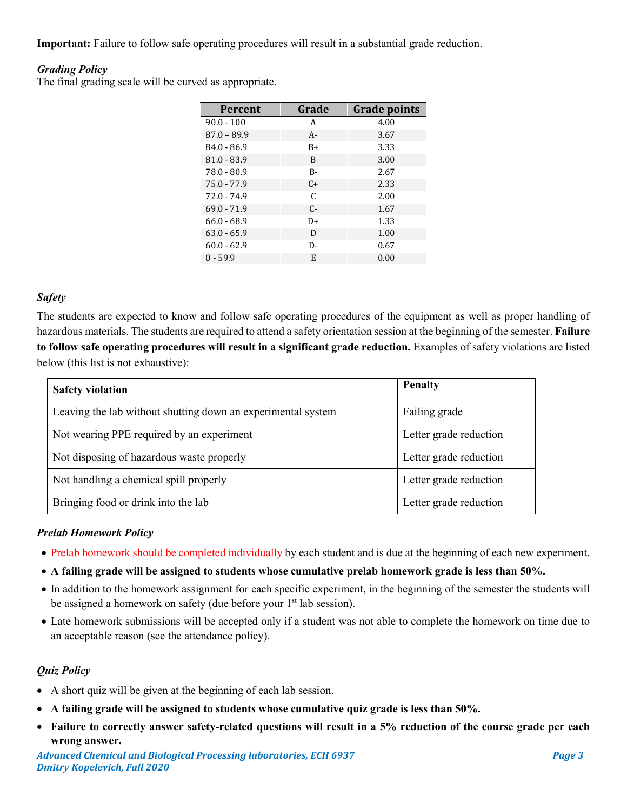**Important:** Failure to follow safe operating procedures will result in a substantial grade reduction.

# *Grading Policy*

The final grading scale will be curved as appropriate.

| <b>Percent</b> | Grade | <b>Grade points</b> |
|----------------|-------|---------------------|
| $90.0 - 100$   | A     | 4.00                |
| $87.0 - 89.9$  | $A -$ | 3.67                |
| $84.0 - 86.9$  | B+    | 3.33                |
| $81.0 - 83.9$  | B     | 3.00                |
| $78.0 - 80.9$  | $B -$ | 2.67                |
| $75.0 - 77.9$  | $C+$  | 2.33                |
| $72.0 - 74.9$  | C     | 2.00                |
| $69.0 - 71.9$  | $C -$ | 1.67                |
| $66.0 - 68.9$  | $D+$  | 1.33                |
| $63.0 - 65.9$  | D     | 1.00                |
| $60.0 - 62.9$  | D-    | 0.67                |
| $0 - 59.9$     | E     | 0.00                |

### *Safety*

The students are expected to know and follow safe operating procedures of the equipment as well as proper handling of hazardous materials. The students are required to attend a safety orientation session at the beginning of the semester. **Failure to follow safe operating procedures will result in a significant grade reduction.** Examples of safety violations are listed below (this list is not exhaustive):

| <b>Safety violation</b>                                      | <b>Penalty</b>         |
|--------------------------------------------------------------|------------------------|
| Leaving the lab without shutting down an experimental system | Failing grade          |
| Not wearing PPE required by an experiment                    | Letter grade reduction |
| Not disposing of hazardous waste properly                    | Letter grade reduction |
| Not handling a chemical spill properly                       | Letter grade reduction |
| Bringing food or drink into the lab                          | Letter grade reduction |

### *Prelab Homework Policy*

- Prelab homework should be completed individually by each student and is due at the beginning of each new experiment.
- **A failing grade will be assigned to students whose cumulative prelab homework grade is less than 50%.**
- In addition to the homework assignment for each specific experiment, in the beginning of the semester the students will be assigned a homework on safety (due before your  $1<sup>st</sup>$  lab session).
- Late homework submissions will be accepted only if a student was not able to complete the homework on time due to an acceptable reason (see the attendance policy).

### *Quiz Policy*

- A short quiz will be given at the beginning of each lab session.
- **A failing grade will be assigned to students whose cumulative quiz grade is less than 50%.**
- **Failure to correctly answer safety-related questions will result in a 5% reduction of the course grade per each wrong answer.**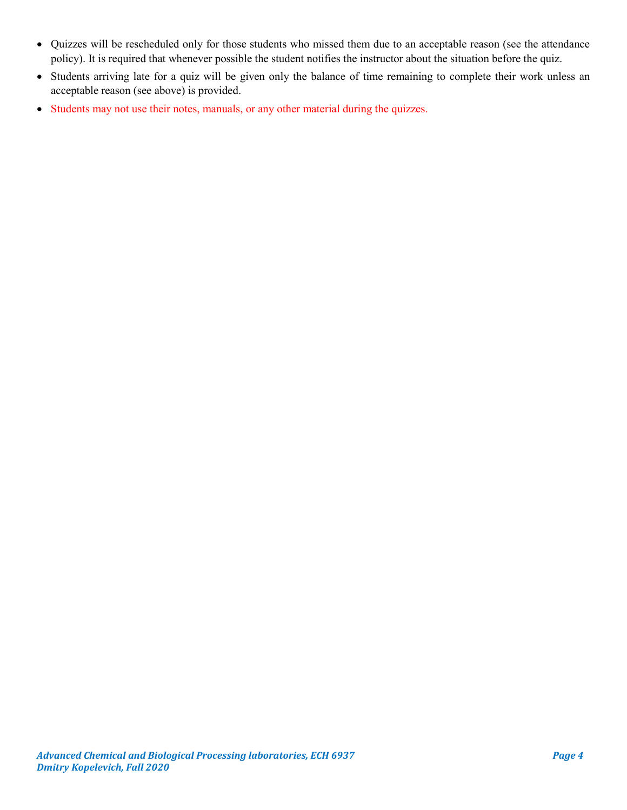- Quizzes will be rescheduled only for those students who missed them due to an acceptable reason (see the attendance policy). It is required that whenever possible the student notifies the instructor about the situation before the quiz.
- Students arriving late for a quiz will be given only the balance of time remaining to complete their work unless an acceptable reason (see above) is provided.
- Students may not use their notes, manuals, or any other material during the quizzes.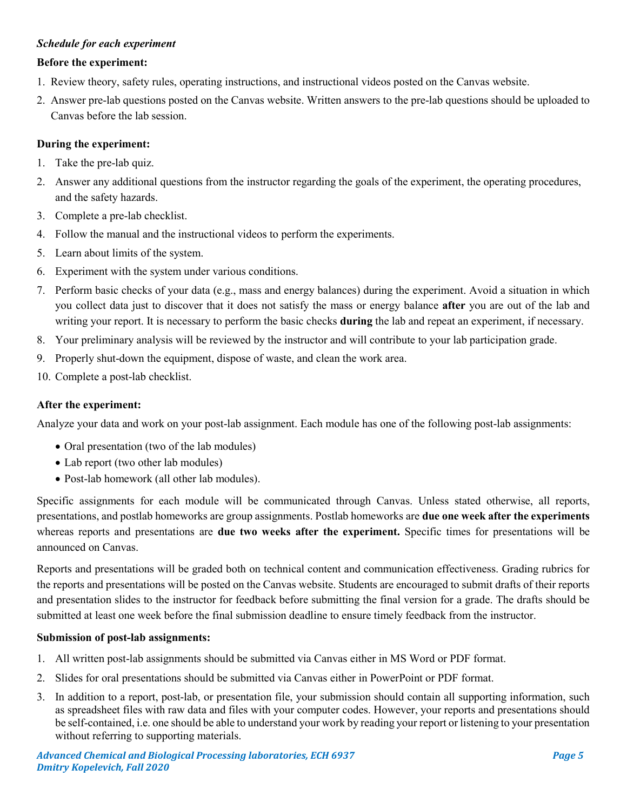# *Schedule for each experiment*

### **Before the experiment:**

- 1. Review theory, safety rules, operating instructions, and instructional videos posted on the Canvas website.
- 2. Answer pre-lab questions posted on the Canvas website. Written answers to the pre-lab questions should be uploaded to Canvas before the lab session.

#### **During the experiment:**

- 1. Take the pre-lab quiz.
- 2. Answer any additional questions from the instructor regarding the goals of the experiment, the operating procedures, and the safety hazards.
- 3. Complete a pre-lab checklist.
- 4. Follow the manual and the instructional videos to perform the experiments.
- 5. Learn about limits of the system.
- 6. Experiment with the system under various conditions.
- 7. Perform basic checks of your data (e.g., mass and energy balances) during the experiment. Avoid a situation in which you collect data just to discover that it does not satisfy the mass or energy balance **after** you are out of the lab and writing your report. It is necessary to perform the basic checks **during** the lab and repeat an experiment, if necessary.
- 8. Your preliminary analysis will be reviewed by the instructor and will contribute to your lab participation grade.
- 9. Properly shut-down the equipment, dispose of waste, and clean the work area.
- 10. Complete a post-lab checklist.

### **After the experiment:**

Analyze your data and work on your post-lab assignment. Each module has one of the following post-lab assignments:

- Oral presentation (two of the lab modules)
- Lab report (two other lab modules)
- Post-lab homework (all other lab modules).

Specific assignments for each module will be communicated through Canvas. Unless stated otherwise, all reports, presentations, and postlab homeworks are group assignments. Postlab homeworks are **due one week after the experiments** whereas reports and presentations are **due two weeks after the experiment.** Specific times for presentations will be announced on Canvas.

Reports and presentations will be graded both on technical content and communication effectiveness. Grading rubrics for the reports and presentations will be posted on the Canvas website. Students are encouraged to submit drafts of their reports and presentation slides to the instructor for feedback before submitting the final version for a grade. The drafts should be submitted at least one week before the final submission deadline to ensure timely feedback from the instructor.

### **Submission of post-lab assignments:**

- 1. All written post-lab assignments should be submitted via Canvas either in MS Word or PDF format.
- 2. Slides for oral presentations should be submitted via Canvas either in PowerPoint or PDF format.
- 3. In addition to a report, post-lab, or presentation file, your submission should contain all supporting information, such as spreadsheet files with raw data and files with your computer codes. However, your reports and presentations should be self-contained, i.e. one should be able to understand your work by reading your report or listening to your presentation without referring to supporting materials.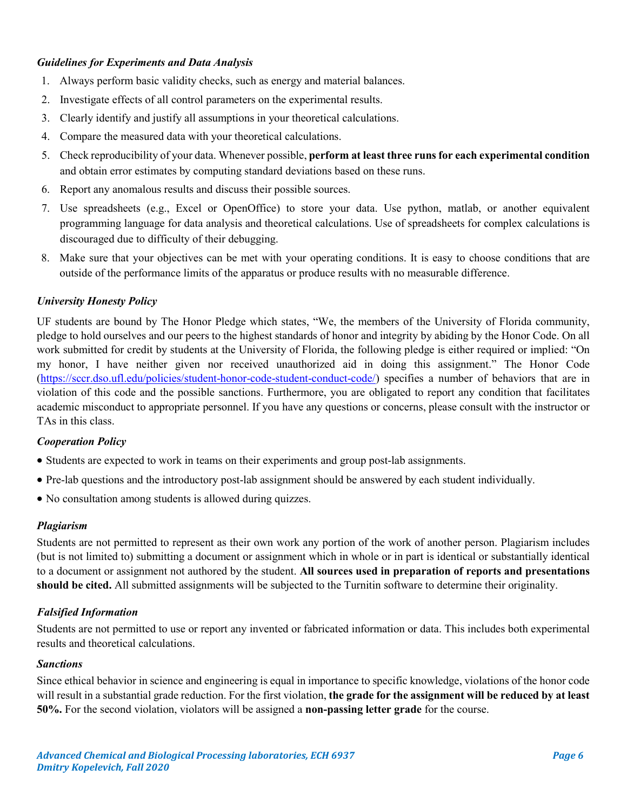### *Guidelines for Experiments and Data Analysis*

- 1. Always perform basic validity checks, such as energy and material balances.
- 2. Investigate effects of all control parameters on the experimental results.
- 3. Clearly identify and justify all assumptions in your theoretical calculations.
- 4. Compare the measured data with your theoretical calculations.
- 5. Check reproducibility of your data. Whenever possible, **perform at least three runs for each experimental condition** and obtain error estimates by computing standard deviations based on these runs.
- 6. Report any anomalous results and discuss their possible sources.
- 7. Use spreadsheets (e.g., Excel or OpenOffice) to store your data. Use python, matlab, or another equivalent programming language for data analysis and theoretical calculations. Use of spreadsheets for complex calculations is discouraged due to difficulty of their debugging.
- 8. Make sure that your objectives can be met with your operating conditions. It is easy to choose conditions that are outside of the performance limits of the apparatus or produce results with no measurable difference.

## *University Honesty Policy*

UF students are bound by The Honor Pledge which states, "We, the members of the University of Florida community, pledge to hold ourselves and our peers to the highest standards of honor and integrity by abiding by the Honor Code. On all work submitted for credit by students at the University of Florida, the following pledge is either required or implied: "On my honor, I have neither given nor received unauthorized aid in doing this assignment." The Honor Code [\(https://sccr.dso.ufl.edu/policies/student-honor-code-student-conduct-code/\)](https://sccr.dso.ufl.edu/policies/student-honor-code-student-conduct-code/) specifies a number of behaviors that are in violation of this code and the possible sanctions. Furthermore, you are obligated to report any condition that facilitates academic misconduct to appropriate personnel. If you have any questions or concerns, please consult with the instructor or TAs in this class.

### *Cooperation Policy*

- Students are expected to work in teams on their experiments and group post-lab assignments.
- Pre-lab questions and the introductory post-lab assignment should be answered by each student individually.
- No consultation among students is allowed during quizzes.

### *Plagiarism*

Students are not permitted to represent as their own work any portion of the work of another person. Plagiarism includes (but is not limited to) submitting a document or assignment which in whole or in part is identical or substantially identical to a document or assignment not authored by the student. **All sources used in preparation of reports and presentations should be cited.** All submitted assignments will be subjected to the Turnitin software to determine their originality.

# *Falsified Information*

Students are not permitted to use or report any invented or fabricated information or data. This includes both experimental results and theoretical calculations.

### *Sanctions*

Since ethical behavior in science and engineering is equal in importance to specific knowledge, violations of the honor code will result in a substantial grade reduction. For the first violation, **the grade for the assignment will be reduced by at least 50%.** For the second violation, violators will be assigned a **non-passing letter grade** for the course.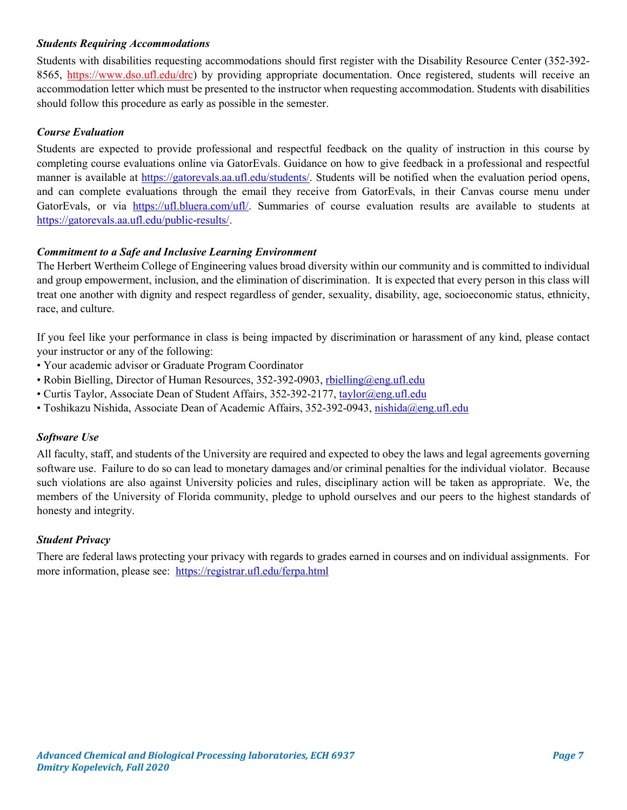## *Students Requiring Accommodations*

Students with disabilities requesting accommodations should first register with the Disability Resource Center (352-392- 8565, https://www.dso.ufl.edu/drc) by providing appropriate documentation. Once registered, students will receive an accommodation letter which must be presented to the instructor when requesting accommodation. Students with disabilities should follow this procedure as early as possible in the semester.

# *Course Evaluation*

Students are expected to provide professional and respectful feedback on the quality of instruction in this course by completing course evaluations online via GatorEvals. Guidance on how to give feedback in a professional and respectful manner is available at [https://gatorevals.aa.ufl.edu/students/.](https://gatorevals.aa.ufl.edu/students/) Students will be notified when the evaluation period opens, and can complete evaluations through the email they receive from GatorEvals, in their Canvas course menu under GatorEvals, or via [https://ufl.bluera.com/ufl/.](https://ufl.bluera.com/ufl/) Summaries of course evaluation results are available to students at [https://gatorevals.aa.ufl.edu/public-results/.](https://gatorevals.aa.ufl.edu/public-results/)

## *Commitment to a Safe and Inclusive Learning Environment*

The Herbert Wertheim College of Engineering values broad diversity within our community and is committed to individual and group empowerment, inclusion, and the elimination of discrimination. It is expected that every person in this class will treat one another with dignity and respect regardless of gender, sexuality, disability, age, socioeconomic status, ethnicity, race, and culture.

If you feel like your performance in class is being impacted by discrimination or harassment of any kind, please contact your instructor or any of the following:

- Your academic advisor or Graduate Program Coordinator
- Robin Bielling, Director of Human Resources, 352-392-0903, [rbielling@eng.ufl.edu](mailto:rbielling@eng.ufl.edu)
- Curtis Taylor, Associate Dean of Student Affairs, 352-392-2177, [taylor@eng.ufl.edu](mailto:taylor@eng.ufl.edu)
- Toshikazu Nishida, Associate Dean of Academic Affairs, 352-392-0943, [nishida@eng.ufl.edu](mailto:nishida@eng.ufl.edu)

### *Software Use*

All faculty, staff, and students of the University are required and expected to obey the laws and legal agreements governing software use. Failure to do so can lead to monetary damages and/or criminal penalties for the individual violator. Because such violations are also against University policies and rules, disciplinary action will be taken as appropriate. We, the members of the University of Florida community, pledge to uphold ourselves and our peers to the highest standards of honesty and integrity.

### *Student Privacy*

There are federal laws protecting your privacy with regards to grades earned in courses and on individual assignments. For more information, please see: <https://registrar.ufl.edu/ferpa.html>